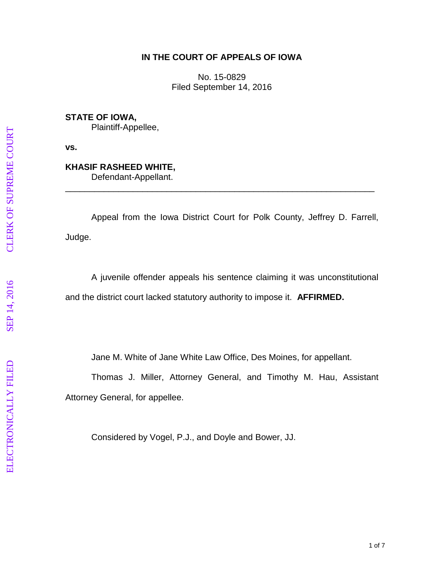### **IN THE COURT OF APPEALS OF IOWA**

No. 15 -0829 Filed September 14, 2016

**STATE OF IOWA,** Plaintiff -Appellee,

**vs.**

# **KHASIF RASHEED WHITE ,**

Defendant -Appellant.

Appeal from the Iowa District Court for Polk County, Jeffrey D. Farrell, Judge.

\_\_\_\_\_\_\_\_\_\_\_\_\_\_\_\_\_\_\_\_\_\_\_\_\_\_\_\_\_\_\_\_\_\_\_\_\_\_\_\_\_\_\_\_\_\_\_\_\_\_\_\_\_\_\_\_\_\_\_\_\_\_\_\_

A juvenile offender appeals his sentence claiming it was unconstitutional and the district court lacked statutory authority to impose it. **AFFIRMED.**

Jane M. White of Jane White Law Office, Des Moines, for appellant.

Thomas J. Miller, Attorney General, and Timothy M. Hau, Assistant Attorney General, for appellee.

Considered by Vogel, P.J., and Doyle and Bower, JJ.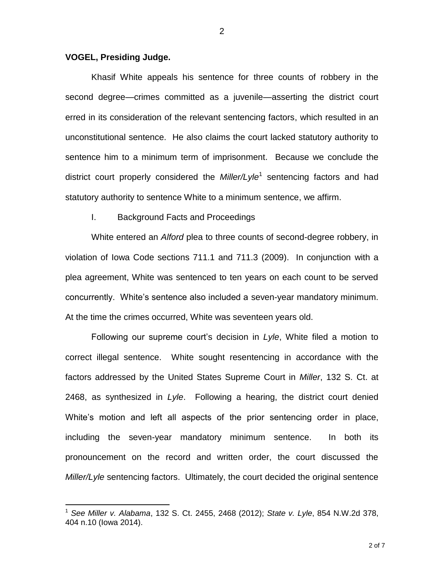#### **VOGEL, Presiding Judge.**

 $\overline{a}$ 

Khasif White appeals his sentence for three counts of robbery in the second degree—crimes committed as a juvenile—asserting the district court erred in its consideration of the relevant sentencing factors, which resulted in an unconstitutional sentence. He also claims the court lacked statutory authority to sentence him to a minimum term of imprisonment. Because we conclude the district court properly considered the *Miller/Lyle*<sup>1</sup> sentencing factors and had statutory authority to sentence White to a minimum sentence, we affirm.

### I. Background Facts and Proceedings

White entered an *Alford* plea to three counts of second-degree robbery, in violation of Iowa Code sections 711.1 and 711.3 (2009). In conjunction with a plea agreement, White was sentenced to ten years on each count to be served concurrently. White's sentence also included a seven-year mandatory minimum. At the time the crimes occurred, White was seventeen years old.

Following our supreme court's decision in *Lyle*, White filed a motion to correct illegal sentence. White sought resentencing in accordance with the factors addressed by the United States Supreme Court in *Miller*, 132 S. Ct. at 2468, as synthesized in *Lyle*. Following a hearing, the district court denied White's motion and left all aspects of the prior sentencing order in place, including the seven-year mandatory minimum sentence. In both its pronouncement on the record and written order, the court discussed the *Miller/Lyle* sentencing factors. Ultimately, the court decided the original sentence

<sup>1</sup> *See Miller v. Alabama*, 132 S. Ct. 2455, 2468 (2012); *State v. Lyle*, 854 N.W.2d 378, 404 n.10 (Iowa 2014).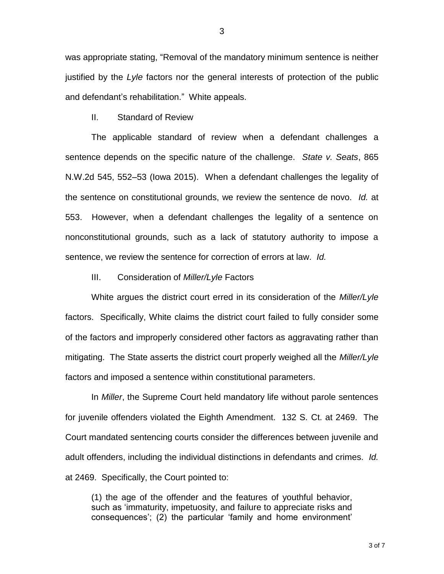was appropriate stating, "Removal of the mandatory minimum sentence is neither justified by the *Lyle* factors nor the general interests of protection of the public and defendant's rehabilitation." White appeals.

II. Standard of Review

The applicable standard of review when a defendant challenges a sentence depends on the specific nature of the challenge. *State v. Seats*, 865 N.W.2d 545, 552–53 (Iowa 2015). When a defendant challenges the legality of the sentence on constitutional grounds, we review the sentence de novo. *Id.* at 553. However, when a defendant challenges the legality of a sentence on nonconstitutional grounds, such as a lack of statutory authority to impose a sentence, we review the sentence for correction of errors at law. *Id.*

III. Consideration of *Miller/Lyle* Factors

White argues the district court erred in its consideration of the *Miller/Lyle* factors. Specifically, White claims the district court failed to fully consider some of the factors and improperly considered other factors as aggravating rather than mitigating. The State asserts the district court properly weighed all the *Miller/Lyle* factors and imposed a sentence within constitutional parameters.

In *Miller*, the Supreme Court held mandatory life without parole sentences for juvenile offenders violated the Eighth Amendment. 132 S. Ct. at 2469. The Court mandated sentencing courts consider the differences between juvenile and adult offenders, including the individual distinctions in defendants and crimes. *Id.* at 2469. Specifically, the Court pointed to:

(1) the age of the offender and the features of youthful behavior, such as 'immaturity, impetuosity, and failure to appreciate risks and consequences'; (2) the particular 'family and home environment'

3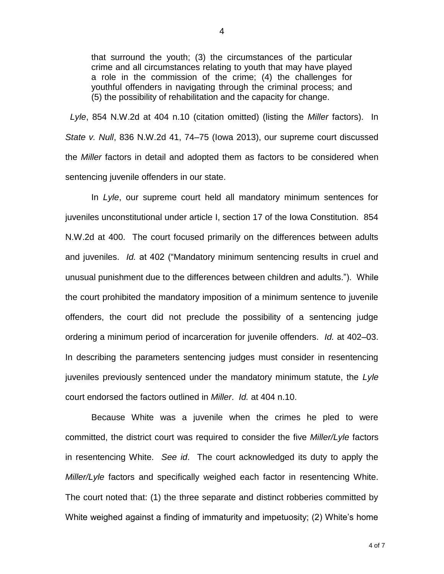that surround the youth; (3) the circumstances of the particular crime and all circumstances relating to youth that may have played a role in the commission of the crime; (4) the challenges for youthful offenders in navigating through the criminal process; and (5) the possibility of rehabilitation and the capacity for change.

 *Lyle*, 854 N.W.2d at 404 n.10 (citation omitted) (listing the *Miller* factors). In *State v. Null*, 836 N.W.2d 41, 74–75 (Iowa 2013), our supreme court discussed the *Miller* factors in detail and adopted them as factors to be considered when sentencing juvenile offenders in our state.

In *Lyle*, our supreme court held all mandatory minimum sentences for juveniles unconstitutional under article I, section 17 of the Iowa Constitution. 854 N.W.2d at 400. The court focused primarily on the differences between adults and juveniles. *Id.* at 402 ("Mandatory minimum sentencing results in cruel and unusual punishment due to the differences between children and adults."). While the court prohibited the mandatory imposition of a minimum sentence to juvenile offenders, the court did not preclude the possibility of a sentencing judge ordering a minimum period of incarceration for juvenile offenders. *Id.* at 402–03. In describing the parameters sentencing judges must consider in resentencing juveniles previously sentenced under the mandatory minimum statute, the *Lyle* court endorsed the factors outlined in *Miller*. *Id.* at 404 n.10.

Because White was a juvenile when the crimes he pled to were committed, the district court was required to consider the five *Miller/Lyle* factors in resentencing White. *See id*. The court acknowledged its duty to apply the *Miller/Lyle* factors and specifically weighed each factor in resentencing White. The court noted that: (1) the three separate and distinct robberies committed by White weighed against a finding of immaturity and impetuosity; (2) White's home

4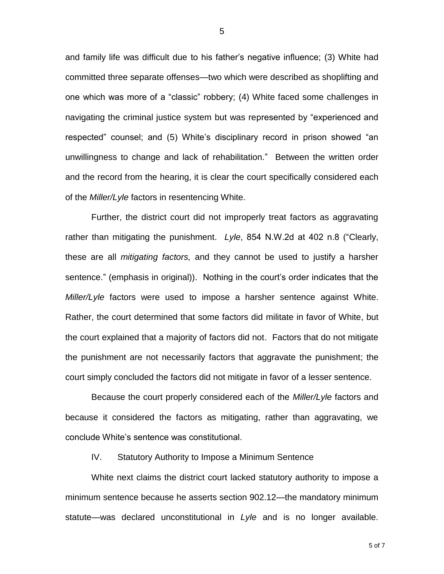and family life was difficult due to his father's negative influence; (3) White had committed three separate offenses—two which were described as shoplifting and one which was more of a "classic" robbery; (4) White faced some challenges in navigating the criminal justice system but was represented by "experienced and respected" counsel; and (5) White's disciplinary record in prison showed "an unwillingness to change and lack of rehabilitation." Between the written order and the record from the hearing, it is clear the court specifically considered each of the *Miller/Lyle* factors in resentencing White.

Further, the district court did not improperly treat factors as aggravating rather than mitigating the punishment. *Lyle*, 854 N.W.2d at 402 n.8 ("Clearly, these are all *mitigating factors,* and they cannot be used to justify a harsher sentence." (emphasis in original)). Nothing in the court's order indicates that the *Miller/Lyle* factors were used to impose a harsher sentence against White. Rather, the court determined that some factors did militate in favor of White, but the court explained that a majority of factors did not. Factors that do not mitigate the punishment are not necessarily factors that aggravate the punishment; the court simply concluded the factors did not mitigate in favor of a lesser sentence.

Because the court properly considered each of the *Miller/Lyle* factors and because it considered the factors as mitigating, rather than aggravating, we conclude White's sentence was constitutional.

IV. Statutory Authority to Impose a Minimum Sentence

White next claims the district court lacked statutory authority to impose a minimum sentence because he asserts section 902.12—the mandatory minimum statute—was declared unconstitutional in *Lyle* and is no longer available.

5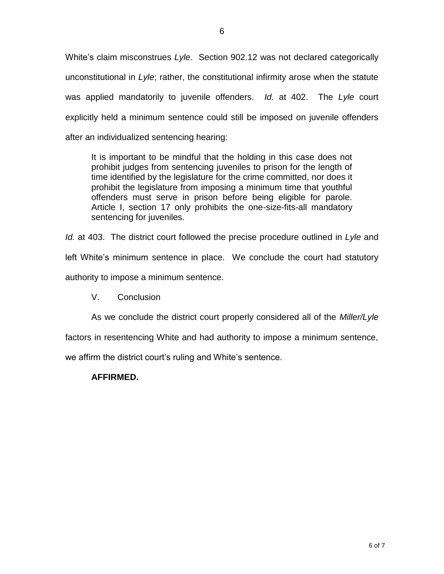White's claim misconstrues *Lyle*. Section 902.12 was not declared categorically unconstitutional in *Lyle*; rather, the constitutional infirmity arose when the statute was applied mandatorily to juvenile offenders. *Id.* at 402. The *Lyle* court explicitly held a minimum sentence could still be imposed on juvenile offenders after an individualized sentencing hearing:

It is important to be mindful that the holding in this case does not prohibit judges from sentencing juveniles to prison for the length of time identified by the legislature for the crime committed, nor does it prohibit the legislature from imposing a minimum time that youthful offenders must serve in prison before being eligible for parole. Article I, section 17 only prohibits the one-size-fits-all mandatory sentencing for juveniles.

*Id.* at 403. The district court followed the precise procedure outlined in *Lyle* and left White's minimum sentence in place. We conclude the court had statutory authority to impose a minimum sentence.

V. Conclusion

As we conclude the district court properly considered all of the *Miller/Lyle*

factors in resentencing White and had authority to impose a minimum sentence,

we affirm the district court's ruling and White's sentence.

## **AFFIRMED.**